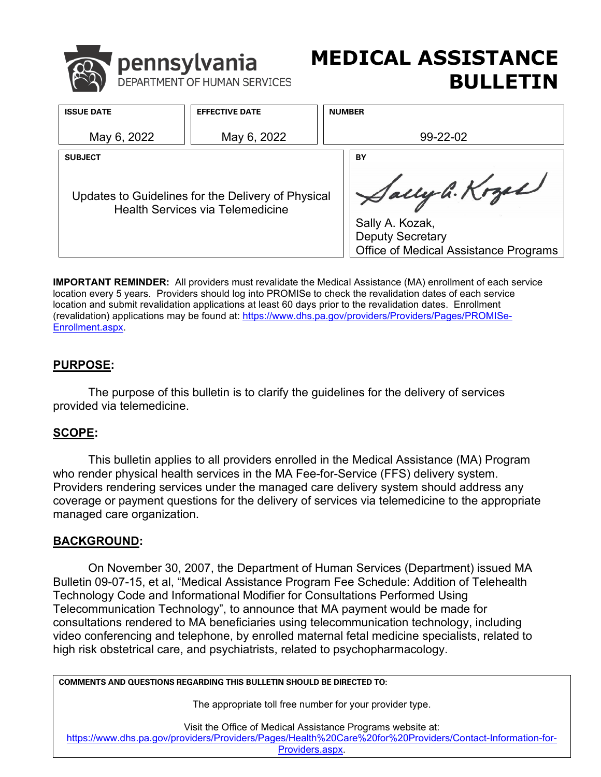<span id="page-0-0"></span>

# **MEDICAL ASSISTANCE BULLETIN**

| <b>ISSUE DATE</b>                                                                             | <b>EFFECTIVE DATE</b> | <b>NUMBER</b>                                                                                         |
|-----------------------------------------------------------------------------------------------|-----------------------|-------------------------------------------------------------------------------------------------------|
| May 6, 2022                                                                                   | May 6, 2022           | 99-22-02                                                                                              |
| <b>SUBJECT</b>                                                                                |                       | BY                                                                                                    |
| Updates to Guidelines for the Delivery of Physical<br><b>Health Services via Telemedicine</b> |                       | Sally G. Kozel<br>Sally A. Kozak,<br><b>Deputy Secretary</b><br>Office of Medical Assistance Programs |

**IMPORTANT REMINDER:** All providers must revalidate the Medical Assistance (MA) enrollment of each service location every 5 years. Providers should log into PROMISe to check the revalidation dates of each service location and submit revalidation applications at least 60 days prior to the revalidation dates. Enrollment (revalidation) applications may be found at: [https://www.dhs.pa.gov/providers/Providers/Pages/PROMISe-](https://www.dhs.pa.gov/providers/Providers/Pages/PROMISe-Enrollment.aspx)[Enrollment.aspx.](https://www.dhs.pa.gov/providers/Providers/Pages/PROMISe-Enrollment.aspx)

# **PURPOSE:**

 The purpose of this bulletin is to clarify the guidelines for the delivery of services provided via telemedicine.

# **SCOPE:**

who render physical health services in the MA Fee-for-Service (FFS) delivery system. managed care organization. This bulletin applies to all providers enrolled in the Medical Assistance (MA) Program Providers rendering services under the managed care delivery system should address any coverage or payment questions for the delivery of services via telemedicine to the appropriate

# **BACKGROUND:**

 Technology Code and Informational Modifier for Consultations Performed Using On November 30, 2007, the Department of Human Services (Department) issued MA Bulletin 09-07-15, et al, "Medical Assistance Program Fee Schedule: Addition of Telehealth Telecommunication Technology", to announce that MA payment would be made for consultations rendered to MA beneficiaries using telecommunication technology, including video conferencing and telephone, by enrolled maternal fetal medicine specialists, related to high risk obstetrical care, and psychiatrists, related to psychopharmacology.

**COMMENTS AND QUESTIONS REGARDING THIS BULLETIN SHOULD BE DIRECTED TO:** 

The appropriate toll free number for your provider type.

Visit the Office of Medical Assistance Programs website at:

[https://www.dhs.pa.gov/providers/Providers/Pages/Health%20Care%20for%20Providers/Contact-Information-for-](https://www.dhs.pa.gov/providers/Providers/Pages/Health%20Care%20for%20Providers/Contact-Information-for-Providers.aspx)

Providers.aspx.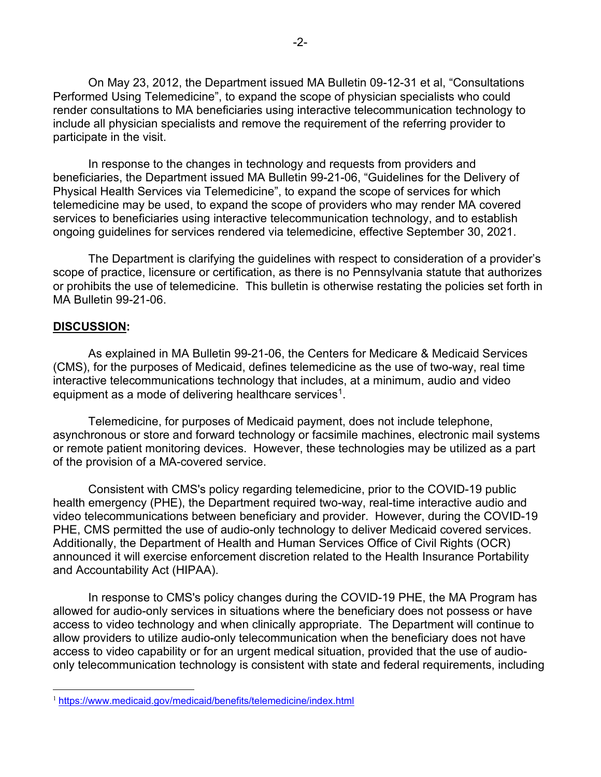Performed Using Telemedicine", to expand the scope of physician specialists who could render consultations to MA beneficiaries using interactive telecommunication technology to participate in the visit. On May 23, 2012, the Department issued MA Bulletin 09-12-31 et al, "Consultations include all physician specialists and remove the requirement of the referring provider to

In response to the changes in technology and requests from providers and beneficiaries, the Department issued MA Bulletin 99-21-06, "Guidelines for the Delivery of Physical Health Services via Telemedicine", to expand the scope of services for which telemedicine may be used, to expand the scope of providers who may render MA covered services to beneficiaries using interactive telecommunication technology, and to establish ongoing guidelines for services rendered via telemedicine, effective September 30, 2021.

 scope of practice, licensure or certification, as there is no Pennsylvania statute that authorizes or prohibits the use of telemedicine. This bulletin is otherwise restating the policies set forth in The Department is clarifying the guidelines with respect to consideration of a provider's MA Bulletin 99-21-06.

#### **DISCUSSION:**

 (CMS), for the purposes of Medicaid, defines telemedicine as the use of two-way, real time interactive telecommunications technology that includes, at a minimum, audio and video As explained in MA Bulletin 99-21-06, the Centers for Medicare & Medicaid Services equipment as a mode of delivering healthcare services<sup>[1](#page-0-0)</sup>.

 or remote patient monitoring devices. However, these technologies may be utilized as a part Telemedicine, for purposes of Medicaid payment, does not include telephone, asynchronous or store and forward technology or facsimile machines, electronic mail systems of the provision of a MA-covered service.

 health emergency (PHE), the Department required two-way, real-time interactive audio and video telecommunications between beneficiary and provider. However, during the COVID-19 PHE, CMS permitted the use of audio-only technology to deliver Medicaid covered services. and Accountability Act (HIPAA). Consistent with CMS's policy regarding telemedicine, prior to the COVID-19 public Additionally, the Department of Health and Human Services Office of Civil Rights (OCR) announced it will exercise enforcement discretion related to the Health Insurance Portability

 allowed for audio-only services in situations where the beneficiary does not possess or have In response to CMS's policy changes during the COVID-19 PHE, the MA Program has access to video technology and when clinically appropriate. The Department will continue to allow providers to utilize audio-only telecommunication when the beneficiary does not have access to video capability or for an urgent medical situation, provided that the use of audioonly telecommunication technology is consistent with state and federal requirements, including

<sup>&</sup>lt;sup>1</sup> https://www.medicaid.gov/medicaid/benefits/telemedicine/index.html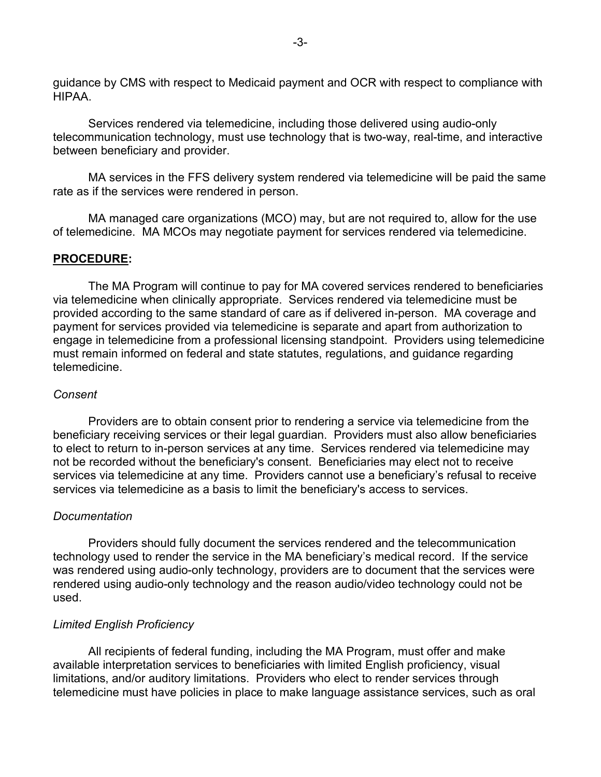guidance by CMS with respect to Medicaid payment and OCR with respect to compliance with HIPAA.

 Services rendered via telemedicine, including those delivered using audio-only between beneficiary and provider. telecommunication technology, must use technology that is two-way, real-time, and interactive

MA services in the FFS delivery system rendered via telemedicine will be paid the same rate as if the services were rendered in person.

MA managed care organizations (MCO) may, but are not required to, allow for the use of telemedicine. MA MCOs may negotiate payment for services rendered via telemedicine.

#### **PROCEDURE:**

 engage in telemedicine from a professional licensing standpoint. Providers using telemedicine The MA Program will continue to pay for MA covered services rendered to beneficiaries via telemedicine when clinically appropriate. Services rendered via telemedicine must be provided according to the same standard of care as if delivered in-person. MA coverage and payment for services provided via telemedicine is separate and apart from authorization to must remain informed on federal and state statutes, regulations, and guidance regarding telemedicine.

#### *Consent*

 Providers are to obtain consent prior to rendering a service via telemedicine from the to elect to return to in-person services at any time. Services rendered via telemedicine may not be recorded without the beneficiary's consent. Beneficiaries may elect not to receive services via telemedicine at any time. Providers cannot use a beneficiary's refusal to receive services via telemedicine as a basis to limit the beneficiary's access to services. beneficiary receiving services or their legal guardian. Providers must also allow beneficiaries

#### *Documentation*

 technology used to render the service in the MA beneficiary's medical record. If the service was rendered using audio-only technology, providers are to document that the services were Providers should fully document the services rendered and the telecommunication rendered using audio-only technology and the reason audio/video technology could not be used.

#### *Limited English Proficiency*

 All recipients of federal funding, including the MA Program, must offer and make available interpretation services to beneficiaries with limited English proficiency, visual limitations, and/or auditory limitations. Providers who elect to render services through telemedicine must have policies in place to make language assistance services, such as oral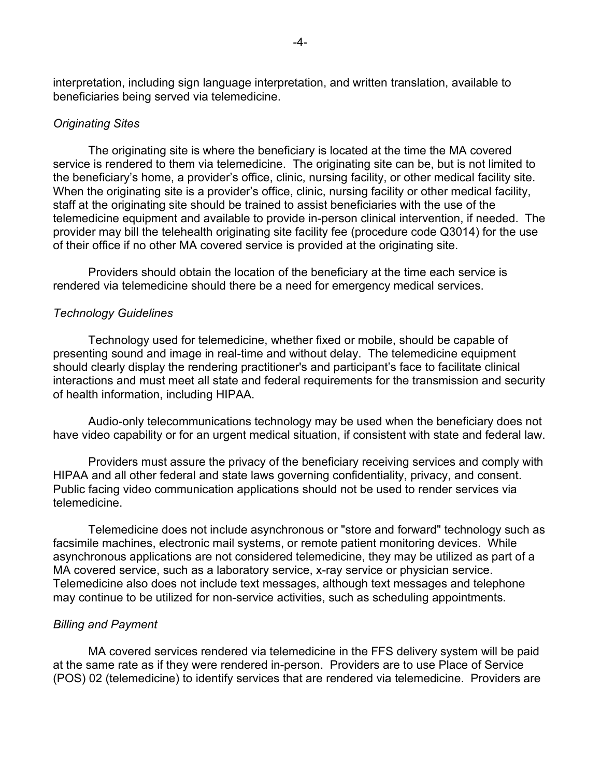interpretation, including sign language interpretation, and written translation, available to beneficiaries being served via telemedicine.

#### *Originating Sites*

 service is rendered to them via telemedicine. The originating site can be, but is not limited to the beneficiary's home, a provider's office, clinic, nursing facility, or other medical facility site. staff at the originating site should be trained to assist beneficiaries with the use of the telemedicine equipment and available to provide in-person clinical intervention, if needed. The of their office if no other MA covered service is provided at the originating site. The originating site is where the beneficiary is located at the time the MA covered When the originating site is a provider's office, clinic, nursing facility or other medical facility, provider may bill the telehealth originating site facility fee (procedure code Q3014) for the use

 rendered via telemedicine should there be a need for emergency medical services. Providers should obtain the location of the beneficiary at the time each service is

#### *Technology Guidelines*

 should clearly display the rendering practitioner's and participant's face to facilitate clinical Technology used for telemedicine, whether fixed or mobile, should be capable of presenting sound and image in real-time and without delay. The telemedicine equipment interactions and must meet all state and federal requirements for the transmission and security of health information, including HIPAA.

 Audio-only telecommunications technology may be used when the beneficiary does not have video capability or for an urgent medical situation, if consistent with state and federal law.

 Providers must assure the privacy of the beneficiary receiving services and comply with HIPAA and all other federal and state laws governing confidentiality, privacy, and consent. HIPAA and all other federal and state laws governing confidentiality, privacy, and consent.<br>Public facing video communication applications should not be used to render services via telemedicine.

 facsimile machines, electronic mail systems, or remote patient monitoring devices. While Telemedicine does not include asynchronous or "store and forward" technology such as asynchronous applications are not considered telemedicine, they may be utilized as part of a MA covered service, such as a laboratory service, x-ray service or physician service. Telemedicine also does not include text messages, although text messages and telephone may continue to be utilized for non-service activities, such as scheduling appointments.

#### *Billing and Payment*

 (POS) 02 (telemedicine) to identify services that are rendered via telemedicine. Providers are MA covered services rendered via telemedicine in the FFS delivery system will be paid at the same rate as if they were rendered in-person. Providers are to use Place of Service